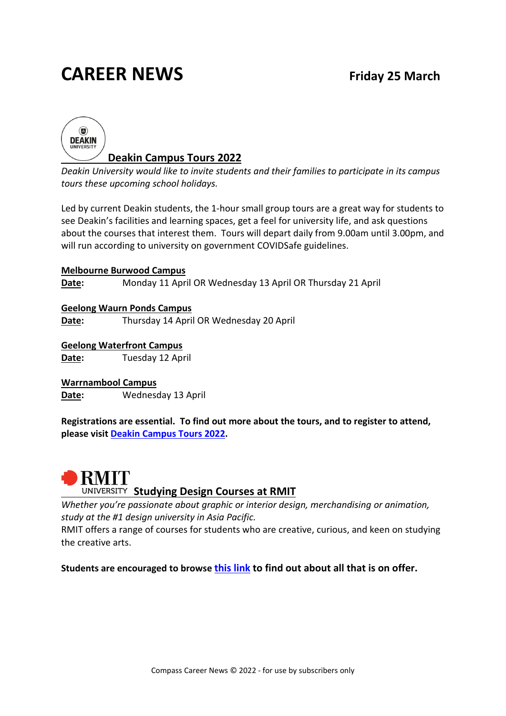# **CAREER NEWS Friday 25 March**



*Deakin University would like to invite students and their families to participate in its campus tours these upcoming school holidays.*

Led by current Deakin students, the 1-hour small group tours are a great way for students to see Deakin's facilities and learning spaces, get a feel for university life, and ask questions about the courses that interest them. Tours will depart daily from 9.00am until 3.00pm, and will run according to university on government COVIDSafe guidelines.

**Melbourne Burwood Campus Date:** Monday 11 April OR Wednesday 13 April OR Thursday 21 April

**Geelong Waurn Ponds Campus Date:** Thursday 14 April OR Wednesday 20 April

**Geelong Waterfront Campus Date:** Tuesday 12 April

**Warrnambool Campus Date:** Wednesday 13 April

**Registrations are essential. To find out more about the tours, and to register to attend, please visit [Deakin Campus Tours 2022.](https://www.deakin.edu.au/student-life-and-services/events/campus-tours)** 



#### **UNIVERSITY Studying Design Courses at RMIT**

*Whether you're passionate about graphic or interior design, merchandising or animation, study at the #1 design university in Asia Pacific.*

RMIT offers a range of courses for students who are creative, curious, and keen on studying the creative arts.

**Students are encouraged to browse [this link](https://www.rmit.edu.au/study-with-us/design) to find out about all that is on offer.**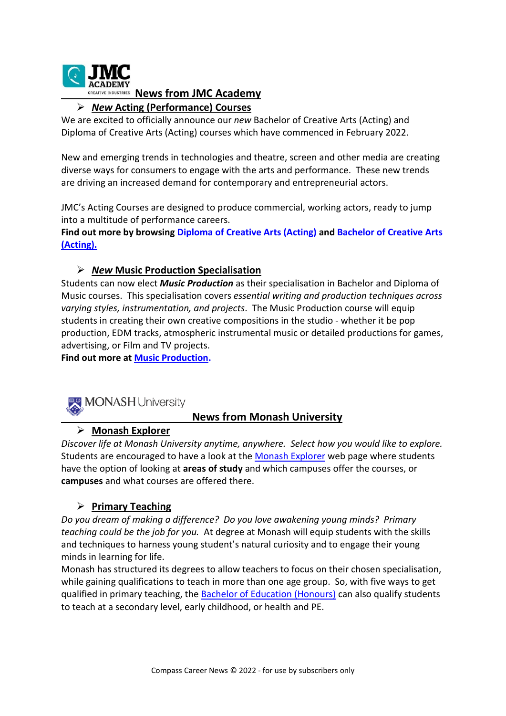

#### **CREATIVE INDUSTRIES News from JMC Academy**

#### *New* **Acting (Performance) Courses**

We are excited to officially announce our *new* Bachelor of Creative Arts (Acting) and Diploma of Creative Arts (Acting) courses which have commenced in February 2022.

New and emerging trends in technologies and theatre, screen and other media are creating diverse ways for consumers to engage with the arts and performance. These new trends are driving an increased demand for contemporary and entrepreneurial actors.

JMC's Acting Courses are designed to produce commercial, working actors, ready to jump into a multitude of performance careers.

**Find out more by browsing [Diploma of Creative Arts \(Acting\)](http://www.jmcacademy.edu.au/our-courses/acting/diploma-of-creative-arts-acting/) and [Bachelor of Creative Arts](http://www.jmcacademy.edu.au/our-courses/acting/bachelor-of-creative-arts-acting/)  [\(Acting\).](http://www.jmcacademy.edu.au/our-courses/acting/bachelor-of-creative-arts-acting/)** 

#### *New* **Music Production Specialisation**

Students can now elect *Music Production* as their specialisation in Bachelor and Diploma of Music courses. This specialisation covers *essential writing and production techniques across varying styles, instrumentation, and projects*. The Music Production course will equip students in creating their own creative compositions in the studio - whether it be pop production, EDM tracks, atmospheric instrumental music or detailed productions for games, advertising, or Film and TV projects.

**Find out more at [Music Production.](https://www.jmcacademy.edu.au/our-courses/music-production/bachelor-of-music-with-specialisation-in-music-production/)**



#### **News from Monash University**

#### **Monash Explorer**

*Discover life at Monash University anytime, anywhere. Select how you would like to explore.*  Students are encouraged to have a look at the [Monash Explorer](https://explorer.monash.edu/) web page where students have the option of looking at **areas of study** and which campuses offer the courses, or **campuses** and what courses are offered there.

#### **Primary Teaching**

*Do you dream of making a difference? Do you love awakening young minds? Primary teaching could be the job for you.* At degree at Monash will equip students with the skills and techniques to harness young student's natural curiosity and to engage their young minds in learning for life.

Monash has structured its degrees to allow teachers to focus on their chosen specialisation, while gaining qualifications to teach in more than one age group. So, with five ways to get qualified in primary teaching, the [Bachelor of Education \(Honours\)](https://www.monash.edu/education/future-students/primary-education) can also qualify students to teach at a secondary level, early childhood, or health and PE.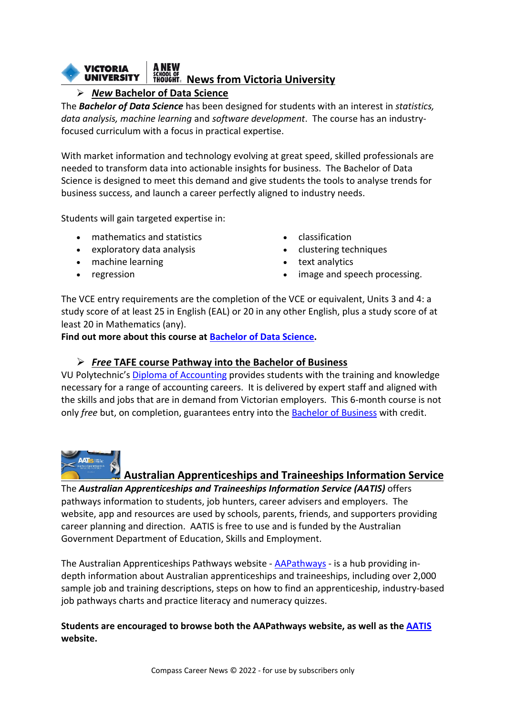#### **VICTORIA** *SCHOOL OF*<br>THOUGHT。 News from Victoria University **UNIVERSITY**

### *New* **Bachelor of Data Science**

The *Bachelor of Data Science* has been designed for students with an interest in *statistics, data analysis, machine learning* and *software development*. The course has an industryfocused curriculum with a focus in practical expertise.

With market information and technology evolving at great speed, skilled professionals are needed to transform data into actionable insights for business. The Bachelor of Data Science is designed to meet this demand and give students the tools to analyse trends for business success, and launch a career perfectly aligned to industry needs.

Students will gain targeted expertise in:

- mathematics and statistics
- exploratory data analysis
- machine learning
- regression
- classification
- clustering techniques
- text analytics
- image and speech processing.

The VCE entry requirements are the completion of the VCE or equivalent, Units 3 and 4: a study score of at least 25 in English (EAL) or 20 in any other English, plus a study score of at least 20 in Mathematics (any).

**Find out more about this course a[t Bachelor of Data Science.](https://www.vu.edu.au/courses/bachelor-of-data-science-nbds)**

#### *Free* **TAFE course Pathway into the Bachelor of Business**

VU Polytechnic's [Diploma of Accounting](https://www.vu.edu.au/courses/diploma-of-accounting-fns50217) provides students with the training and knowledge necessary for a range of accounting careers. It is delivered by expert staff and aligned with the skills and jobs that are in demand from Victorian employers. This 6-month course is not only *free* but, on completion, guarantees entry into the [Bachelor of Business](https://www.vu.edu.au/courses/bachelor-of-business-bbns) with credit.



#### **Australian Apprenticeships and Traineeships Information Service**

The *Australian Apprenticeships and Traineeships Information Service (AATIS)* offers pathways information to students, job hunters, career advisers and employers. The website, app and resources are used by schools, parents, friends, and supporters providing career planning and direction. AATIS is free to use and is funded by the Australian Government Department of Education, Skills and Employment.

The Australian Apprenticeships Pathways website - [AAPathways](https://www.aapathways.com.au/) - is a hub providing indepth information about Australian apprenticeships and traineeships, including over 2,000 sample job and training descriptions, steps on how to find an apprenticeship, industry-based job pathways charts and practice literacy and numeracy quizzes.

**Students are encouraged to browse both the AAPathways website, as well as the [AATIS](https://career-expo.goodmediahosting.com/australian-apprenticeships-and-traineeships-information-service) website.**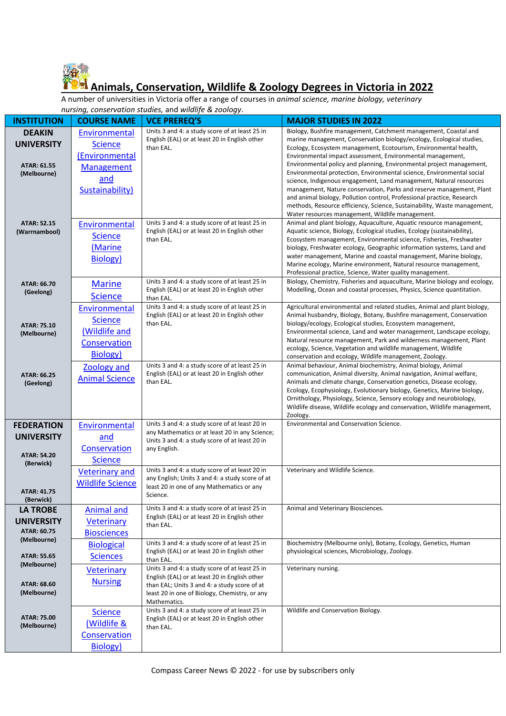

## **Animals, Conservation, Wildlife & Zoology Degrees in Victoria in 2022**

A number of universities in Victoria offer a range of courses in *animal science, marine biology, veterinary nursing, conservation studies,* and *wildlife & zoology*.

| nursing, conservation studies, and wildlife & zoology. |                         |                                                                                                 |                                                                                                                                                   |  |
|--------------------------------------------------------|-------------------------|-------------------------------------------------------------------------------------------------|---------------------------------------------------------------------------------------------------------------------------------------------------|--|
| <b>INSTITUTION</b>                                     | <b>COURSE NAME</b>      | <b>VCE PREREQ'S</b>                                                                             | <b>MAJOR STUDIES IN 2022</b>                                                                                                                      |  |
| <b>DEAKIN</b>                                          | Environmental           | Units 3 and 4: a study score of at least 25 in                                                  | Biology, Bushfire management, Catchment management, Coastal and                                                                                   |  |
| <b>UNIVERSITY</b>                                      | <b>Science</b>          | English (EAL) or at least 20 in English other                                                   | marine management, Conservation biology/ecology, Ecological studies,                                                                              |  |
|                                                        | (Environmental          | than EAL.                                                                                       | Ecology, Ecosystem management, Ecotourism, Environmental health,<br>Environmental impact assessment, Environmental management,                    |  |
| ATAR: 61.55                                            |                         |                                                                                                 | Environmental policy and planning, Environmental project management,                                                                              |  |
| (Melbourne)                                            | Management              |                                                                                                 | Environmental protection, Environmental science, Environmental social                                                                             |  |
|                                                        | and                     |                                                                                                 | science, Indigenous engagement, Land management, Natural resources                                                                                |  |
|                                                        | Sustainability)         |                                                                                                 | management, Nature conservation, Parks and reserve management, Plant                                                                              |  |
|                                                        |                         |                                                                                                 | and animal biology, Pollution control, Professional practice, Research                                                                            |  |
|                                                        |                         |                                                                                                 | methods, Resource efficiency, Science, Sustainability, Waste management,<br>Water resources management, Wildlife management.                      |  |
| <b>ATAR: 52.15</b>                                     | Environmental           | Units 3 and 4: a study score of at least 25 in                                                  | Animal and plant biology, Aquaculture, Aquatic resource management,                                                                               |  |
| (Warrnambool)                                          |                         | English (EAL) or at least 20 in English other                                                   | Aquatic science, Biology, Ecological studies, Ecology (sustainability),                                                                           |  |
|                                                        | <b>Science</b>          | than EAL.                                                                                       | Ecosystem management, Environmental science, Fisheries, Freshwater                                                                                |  |
|                                                        | (Marine                 |                                                                                                 | biology, Freshwater ecology, Geographic information systems, Land and                                                                             |  |
|                                                        | Biology)                |                                                                                                 | water management, Marine and coastal management, Marine biology,<br>Marine ecology, Marine environment, Natural resource management,              |  |
|                                                        |                         |                                                                                                 | Professional practice, Science, Water quality management.                                                                                         |  |
| ATAR: 66.70                                            | <b>Marine</b>           | Units 3 and 4: a study score of at least 25 in                                                  | Biology, Chemistry, Fisheries and aquaculture, Marine biology and ecology,                                                                        |  |
| (Geelong)                                              |                         | English (EAL) or at least 20 in English other                                                   | Modelling, Ocean and coastal processes, Physics, Science quantitation.                                                                            |  |
|                                                        | <b>Science</b>          | than EAL.                                                                                       |                                                                                                                                                   |  |
|                                                        | Environmental           | Units 3 and 4: a study score of at least 25 in<br>English (EAL) or at least 20 in English other | Agricultural environmental and related studies, Animal and plant biology,<br>Animal husbandry, Biology, Botany, Bushfire management, Conservation |  |
| ATAR: 75.10                                            | <b>Science</b>          | than EAL.                                                                                       | biology/ecology, Ecological studies, Ecosystem management,                                                                                        |  |
| (Melbourne)                                            | (Wildlife and           |                                                                                                 | Environmental science, Land and water management, Landscape ecology,                                                                              |  |
|                                                        | Conservation            |                                                                                                 | Natural resource management, Park and wilderness management, Plant                                                                                |  |
|                                                        | <b>Biology</b> )        |                                                                                                 | ecology, Science, Vegetation and wildlife management, Wildlife                                                                                    |  |
|                                                        |                         | Units 3 and 4: a study score of at least 25 in                                                  | conservation and ecology, Wildlife management, Zoology.<br>Animal behaviour, Animal biochemistry, Animal biology, Animal                          |  |
| ATAR: 66.25                                            | Zoology and             | English (EAL) or at least 20 in English other                                                   | communication, Animal diversity, Animal navigation, Animal welfare,                                                                               |  |
| (Geelong)                                              | <b>Animal Science</b>   | than EAL.                                                                                       | Animals and climate change, Conservation genetics, Disease ecology,                                                                               |  |
|                                                        |                         |                                                                                                 | Ecology, Ecophysiology, Evolutionary biology, Genetics, Marine biology,                                                                           |  |
|                                                        |                         |                                                                                                 | Ornithology, Physiology, Science, Sensory ecology and neurobiology,                                                                               |  |
|                                                        |                         |                                                                                                 | Wildlife disease, Wildlife ecology and conservation, Wildlife management,<br>Zoology.                                                             |  |
| <b>FEDERATION</b>                                      | Environmental           | Units 3 and 4: a study score of at least 20 in                                                  | <b>Environmental and Conservation Science.</b>                                                                                                    |  |
|                                                        |                         | any Mathematics or at least 20 in any Science;                                                  |                                                                                                                                                   |  |
| <b>UNIVERSITY</b>                                      | and                     | Units 3 and 4: a study score of at least 20 in                                                  |                                                                                                                                                   |  |
| <b>ATAR: 54.20</b>                                     | Conservation            | any English.                                                                                    |                                                                                                                                                   |  |
| (Berwick)                                              | <b>Science</b>          |                                                                                                 |                                                                                                                                                   |  |
|                                                        | <b>Veterinary and</b>   | Units 3 and 4: a study score of at least 20 in                                                  | Veterinary and Wildlife Science.                                                                                                                  |  |
|                                                        | <b>Wildlife Science</b> | any English; Units 3 and 4: a study score of at<br>least 20 in one of any Mathematics or any    |                                                                                                                                                   |  |
| ATAR: 41.75                                            |                         | Science.                                                                                        |                                                                                                                                                   |  |
| (Berwick)                                              |                         |                                                                                                 |                                                                                                                                                   |  |
| <b>LA TROBE</b>                                        | <b>Animal and</b>       | Units 3 and 4: a study score of at least 25 in<br>English (EAL) or at least 20 in English other | Animal and Veterinary Biosciences.                                                                                                                |  |
| <b>UNIVERSITY</b>                                      | <b>Veterinary</b>       | than EAL.                                                                                       |                                                                                                                                                   |  |
| ATAR: 60.75                                            | <b>Biosciences</b>      |                                                                                                 |                                                                                                                                                   |  |
| (Melbourne)                                            | <b>Biological</b>       | Units 3 and 4: a study score of at least 25 in                                                  | Biochemistry (Melbourne only), Botany, Ecology, Genetics, Human                                                                                   |  |
| ATAR: 55.65                                            | <b>Sciences</b>         | English (EAL) or at least 20 in English other                                                   | physiological sciences, Microbiology, Zoology.                                                                                                    |  |
| (Melbourne)                                            |                         | than EAL.                                                                                       |                                                                                                                                                   |  |
|                                                        | <b>Veterinary</b>       | Units 3 and 4: a study score of at least 25 in<br>English (EAL) or at least 20 in English other | Veterinary nursing.                                                                                                                               |  |
| ATAR: 68.60                                            | <b>Nursing</b>          | than EAL; Units 3 and 4: a study score of at                                                    |                                                                                                                                                   |  |
| (Melbourne)                                            |                         | least 20 in one of Biology, Chemistry, or any                                                   |                                                                                                                                                   |  |
|                                                        |                         | Mathematics.                                                                                    |                                                                                                                                                   |  |
| ATAR: 75.00                                            | <b>Science</b>          | Units 3 and 4: a study score of at least 25 in                                                  | Wildlife and Conservation Biology.                                                                                                                |  |
| (Melbourne)                                            | (Wildlife &             | English (EAL) or at least 20 in English other<br>than EAL.                                      |                                                                                                                                                   |  |
|                                                        | Conservation            |                                                                                                 |                                                                                                                                                   |  |
|                                                        | Biology)                |                                                                                                 |                                                                                                                                                   |  |
|                                                        |                         |                                                                                                 |                                                                                                                                                   |  |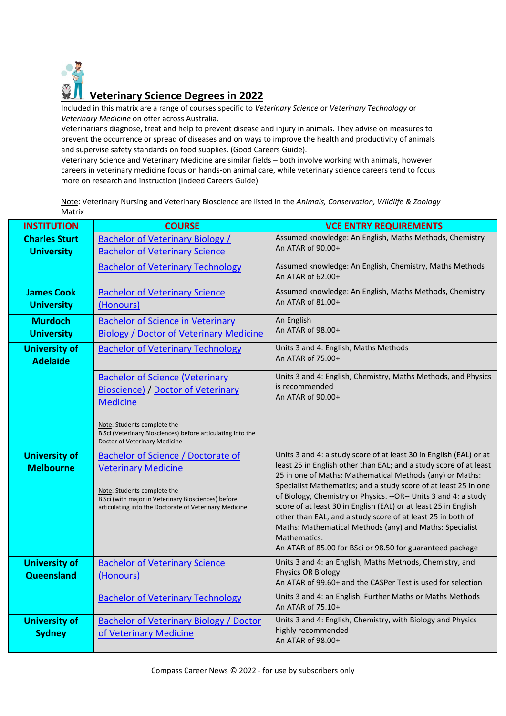

Included in this matrix are a range of courses specific to *Veterinary Science* or *Veterinary Technology* or *Veterinary Medicine* on offer across Australia.

Veterinarians diagnose, treat and help to prevent disease and injury in animals. They advise on measures to prevent the occurrence or spread of diseases and on ways to improve the health and productivity of animals and supervise safety standards on food supplies. (Good Careers Guide).

Veterinary Science and Veterinary Medicine are similar fields – both involve working with animals, however careers in veterinary medicine focus on hands-on animal care, while veterinary science careers tend to focus more on research and instruction (Indeed Careers Guide)

Note: Veterinary Nursing and Veterinary Bioscience are listed in the *Animals, Conservation, Wildlife & Zoology* Matrix

| <b>INSTITUTION</b>                        | <b>COURSE</b>                                                                                                                                                                                                                         | <b>VCE ENTRY REQUIREMENTS</b>                                                                                                                                                                                                                                                                                                                                                                                                                                                                                                                                                                                        |
|-------------------------------------------|---------------------------------------------------------------------------------------------------------------------------------------------------------------------------------------------------------------------------------------|----------------------------------------------------------------------------------------------------------------------------------------------------------------------------------------------------------------------------------------------------------------------------------------------------------------------------------------------------------------------------------------------------------------------------------------------------------------------------------------------------------------------------------------------------------------------------------------------------------------------|
| <b>Charles Sturt</b><br><b>University</b> | <b>Bachelor of Veterinary Biology /</b><br><b>Bachelor of Veterinary Science</b>                                                                                                                                                      | Assumed knowledge: An English, Maths Methods, Chemistry<br>An ATAR of 90.00+                                                                                                                                                                                                                                                                                                                                                                                                                                                                                                                                         |
|                                           | <b>Bachelor of Veterinary Technology</b>                                                                                                                                                                                              | Assumed knowledge: An English, Chemistry, Maths Methods<br>An ATAR of 62.00+                                                                                                                                                                                                                                                                                                                                                                                                                                                                                                                                         |
| <b>James Cook</b><br><b>University</b>    | <b>Bachelor of Veterinary Science</b><br>(Honours)                                                                                                                                                                                    | Assumed knowledge: An English, Maths Methods, Chemistry<br>An ATAR of 81.00+                                                                                                                                                                                                                                                                                                                                                                                                                                                                                                                                         |
| <b>Murdoch</b><br><b>University</b>       | <b>Bachelor of Science in Veterinary</b><br><b>Biology / Doctor of Veterinary Medicine</b>                                                                                                                                            | An English<br>An ATAR of 98.00+                                                                                                                                                                                                                                                                                                                                                                                                                                                                                                                                                                                      |
| <b>University of</b><br><b>Adelaide</b>   | <b>Bachelor of Veterinary Technology</b>                                                                                                                                                                                              | Units 3 and 4: English, Maths Methods<br>An ATAR of 75.00+                                                                                                                                                                                                                                                                                                                                                                                                                                                                                                                                                           |
|                                           | <b>Bachelor of Science (Veterinary</b><br><b>Bioscience) / Doctor of Veterinary</b><br><b>Medicine</b><br>Note: Students complete the<br>B Sci (Veterinary Biosciences) before articulating into the<br>Doctor of Veterinary Medicine | Units 3 and 4: English, Chemistry, Maths Methods, and Physics<br>is recommended<br>An ATAR of 90.00+                                                                                                                                                                                                                                                                                                                                                                                                                                                                                                                 |
| <b>University of</b><br><b>Melbourne</b>  | <b>Bachelor of Science / Doctorate of</b><br><b>Veterinary Medicine</b><br>Note: Students complete the<br>B Sci (with major in Veterinary Biosciences) before<br>articulating into the Doctorate of Veterinary Medicine               | Units 3 and 4: a study score of at least 30 in English (EAL) or at<br>least 25 in English other than EAL; and a study score of at least<br>25 in one of Maths: Mathematical Methods (any) or Maths:<br>Specialist Mathematics; and a study score of at least 25 in one<br>of Biology, Chemistry or Physics. -- OR-- Units 3 and 4: a study<br>score of at least 30 in English (EAL) or at least 25 in English<br>other than EAL; and a study score of at least 25 in both of<br>Maths: Mathematical Methods (any) and Maths: Specialist<br>Mathematics.<br>An ATAR of 85.00 for BSci or 98.50 for guaranteed package |
| <b>University of</b><br>Queensland        | <b>Bachelor of Veterinary Science</b><br>(Honours)                                                                                                                                                                                    | Units 3 and 4: an English, Maths Methods, Chemistry, and<br>Physics OR Biology<br>An ATAR of 99.60+ and the CASPer Test is used for selection                                                                                                                                                                                                                                                                                                                                                                                                                                                                        |
|                                           | <b>Bachelor of Veterinary Technology</b>                                                                                                                                                                                              | Units 3 and 4: an English, Further Maths or Maths Methods<br>An ATAR of 75.10+                                                                                                                                                                                                                                                                                                                                                                                                                                                                                                                                       |
| <b>University of</b><br><b>Sydney</b>     | <b>Bachelor of Veterinary Biology / Doctor</b><br>of Veterinary Medicine                                                                                                                                                              | Units 3 and 4: English, Chemistry, with Biology and Physics<br>highly recommended<br>An ATAR of 98.00+                                                                                                                                                                                                                                                                                                                                                                                                                                                                                                               |